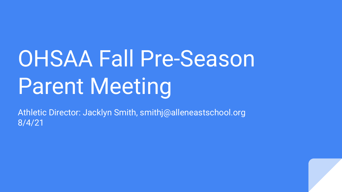# OHSAA Fall Pre-Season Parent Meeting

Athletic Director: Jacklyn Smith, smithj@alleneastschool.org 8/4/21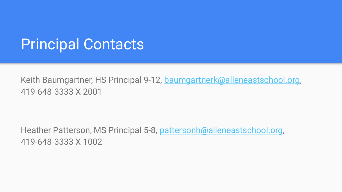#### Principal Contacts

Keith Baumgartner, HS Principal 9-12, [baumgartnerk@alleneastschool.org,](mailto:baumgartnerk@alleneastschool.org) 419-648-3333 X 2001

Heather Patterson, MS Principal 5-8, [pattersonh@alleneastschool.org,](mailto:pattersonh@alleneastschool.org) 419-648-3333 X 1002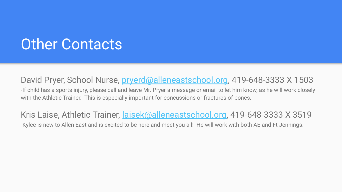#### Other Contacts

David Pryer, School Nurse, [pryerd@alleneastschool.org](mailto:pryerd@alleneastschool.org), 419-648-3333 X 1503 -If child has a sports injury, please call and leave Mr. Pryer a message or email to let him know, as he will work closely with the Athletic Trainer. This is especially important for concussions or fractures of bones.

Kris Laise, Athletic Trainer, [laisek@alleneastschool.org](mailto:laisek@alleneastschool.org), 419-648-3333 X 3519 -Kylee is new to Allen East and is excited to be here and meet you all! He will work with both AE and Ft Jennings.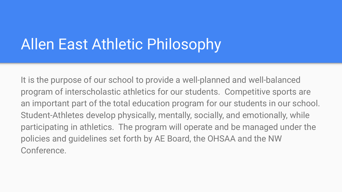## Allen East Athletic Philosophy

It is the purpose of our school to provide a well-planned and well-balanced program of interscholastic athletics for our students. Competitive sports are an important part of the total education program for our students in our school. Student-Athletes develop physically, mentally, socially, and emotionally, while participating in athletics. The program will operate and be managed under the policies and guidelines set forth by AE Board, the OHSAA and the NW Conference.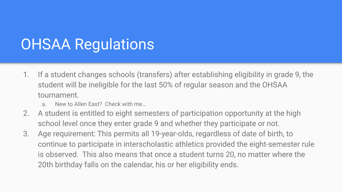## OHSAA Regulations

- 1. If a student changes schools (transfers) after establishing eligibility in grade 9, the student will be ineligible for the last 50% of regular season and the OHSAA tournament.
	- a. New to Allen East? Check with me…
- 2. A student is entitled to eight semesters of participation opportunity at the high school level once they enter grade 9 and whether they participate or not.
- 3. Age requirement: This permits all 19-year-olds, regardless of date of birth, to continue to participate in interscholastic athletics provided the eight-semester rule is observed. This also means that once a student turns 20, no matter where the 20th birthday falls on the calendar, his or her eligibility ends.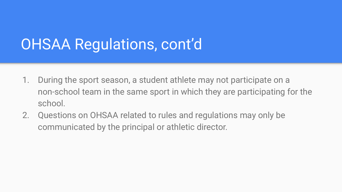## OHSAA Regulations, cont'd

- 1. During the sport season, a student athlete may not participate on a non-school team in the same sport in which they are participating for the school.
- 2. Questions on OHSAA related to rules and regulations may only be communicated by the principal or athletic director.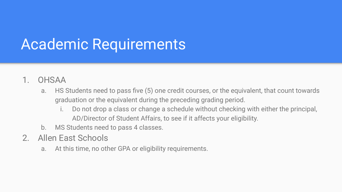## Academic Requirements

- 1. OHSAA
	- a. HS Students need to pass five (5) one credit courses, or the equivalent, that count towards graduation or the equivalent during the preceding grading period.
		- i. Do not drop a class or change a schedule without checking with either the principal, AD/Director of Student Affairs, to see if it affects your eligibility.
	- b. MS Students need to pass 4 classes.
- 2. Allen East Schools
	- a. At this time, no other GPA or eligibility requirements.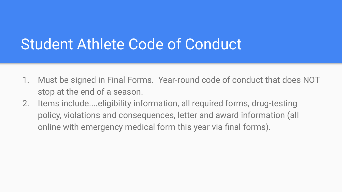#### Student Athlete Code of Conduct

- 1. Must be signed in Final Forms. Year-round code of conduct that does NOT stop at the end of a season.
- 2. Items include....eligibility information, all required forms, drug-testing policy, violations and consequences, letter and award information (all online with emergency medical form this year via final forms).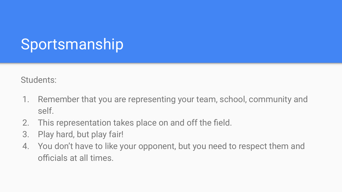# Sportsmanship

Students:

- 1. Remember that you are representing your team, school, community and self.
- 2. This representation takes place on and off the field.
- 3. Play hard, but play fair!
- 4. You don't have to like your opponent, but you need to respect them and officials at all times.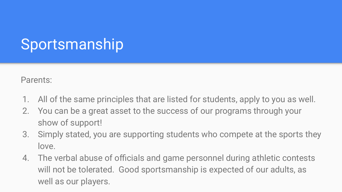# Sportsmanship

Parents:

- 1. All of the same principles that are listed for students, apply to you as well.
- 2. You can be a great asset to the success of our programs through your show of support!
- 3. Simply stated, you are supporting students who compete at the sports they love.
- 4. The verbal abuse of officials and game personnel during athletic contests will not be tolerated. Good sportsmanship is expected of our adults, as well as our players.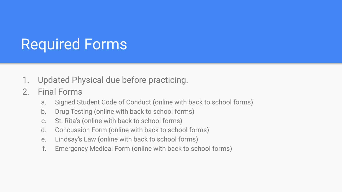# Required Forms

- 1. Updated Physical due before practicing.
- 2. Final Forms
	- a. Signed Student Code of Conduct (online with back to school forms)
	- b. Drug Testing (online with back to school forms)
	- c. St. Rita's (online with back to school forms)
	- d. Concussion Form (online with back to school forms)
	- e. Lindsay's Law (online with back to school forms)
	- f. Emergency Medical Form (online with back to school forms)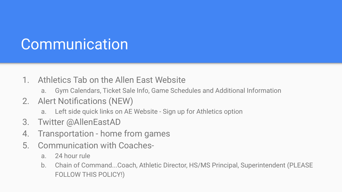## **Communication**

- 1. Athletics Tab on the Allen East Website
	- a. Gym Calendars, Ticket Sale Info, Game Schedules and Additional Information
- 2. Alert Notifications (NEW)
	- a. Left side quick links on AE Website Sign up for Athletics option
- 3. Twitter @AllenEastAD
- 4. Transportation home from games
- 5. Communication with Coaches
	- a. 24 hour rule
	- b. Chain of Command...Coach, Athletic Director, HS/MS Principal, Superintendent (PLEASE FOLLOW THIS POLICY!)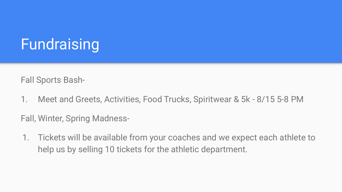# Fundraising

Fall Sports Bash-

1. Meet and Greets, Activities, Food Trucks, Spiritwear & 5k - 8/15 5-8 PM

Fall, Winter, Spring Madness-

1. Tickets will be available from your coaches and we expect each athlete to help us by selling 10 tickets for the athletic department.